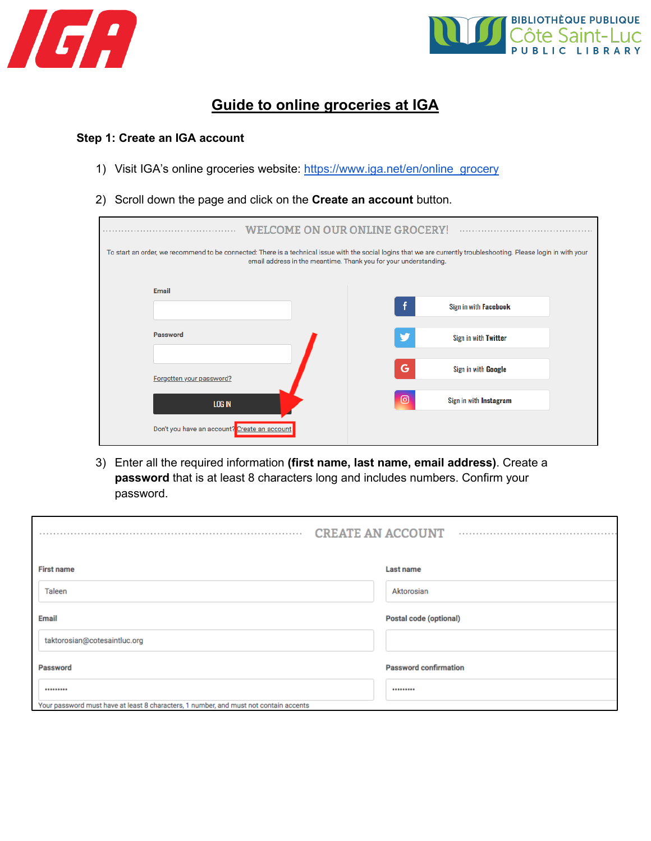



# **Guide to online groceries at IGA**

#### **Step 1: Create an IGA account**

- 1) Visit IGA's online groceries website: [https://www.iga.net/en/online\\_grocery](https://www.iga.net/en/online_grocery)
- 2) Scroll down the page and click on the **Create an account** button.

| <b>WELCOME ON OUR ONLINE GROCERY!</b>                                                                                                                                                                                                   |                                              |  |                |                              |  |  |  |
|-----------------------------------------------------------------------------------------------------------------------------------------------------------------------------------------------------------------------------------------|----------------------------------------------|--|----------------|------------------------------|--|--|--|
| To start an order, we recommend to be connected: There is a technical issue with the social logins that we are currently troubleshooting. Please login in with your<br>email address in the meantime. Thank you for your understanding. |                                              |  |                |                              |  |  |  |
|                                                                                                                                                                                                                                         | Email                                        |  |                |                              |  |  |  |
|                                                                                                                                                                                                                                         |                                              |  | f              | Sign in with <b>Facebook</b> |  |  |  |
|                                                                                                                                                                                                                                         | Password                                     |  | ₩              | Sign in with Twitter         |  |  |  |
|                                                                                                                                                                                                                                         | Forgotten your password?                     |  |                |                              |  |  |  |
|                                                                                                                                                                                                                                         |                                              |  | G              | Sign in with Google          |  |  |  |
|                                                                                                                                                                                                                                         | LOG IN                                       |  | $\circledcirc$ | Sign in with Instagram       |  |  |  |
|                                                                                                                                                                                                                                         | Don't you have an account? Create an account |  |                |                              |  |  |  |

3) Enter all the required information **(first name, last name, email address)**. Create a **password** that is at least 8 characters long and includes numbers. Confirm your password.

|                                                                                       | <b>CREATE AN ACCOUNT</b><br>. |  |
|---------------------------------------------------------------------------------------|-------------------------------|--|
| <b>First name</b>                                                                     | Last name                     |  |
| Taleen                                                                                | Aktorosian                    |  |
| Email                                                                                 | Postal code (optional)        |  |
| taktorosian@cotesaintluc.org                                                          |                               |  |
| Password                                                                              | <b>Password confirmation</b>  |  |
|                                                                                       |                               |  |
| Your password must have at least 8 characters, 1 number, and must not contain accents |                               |  |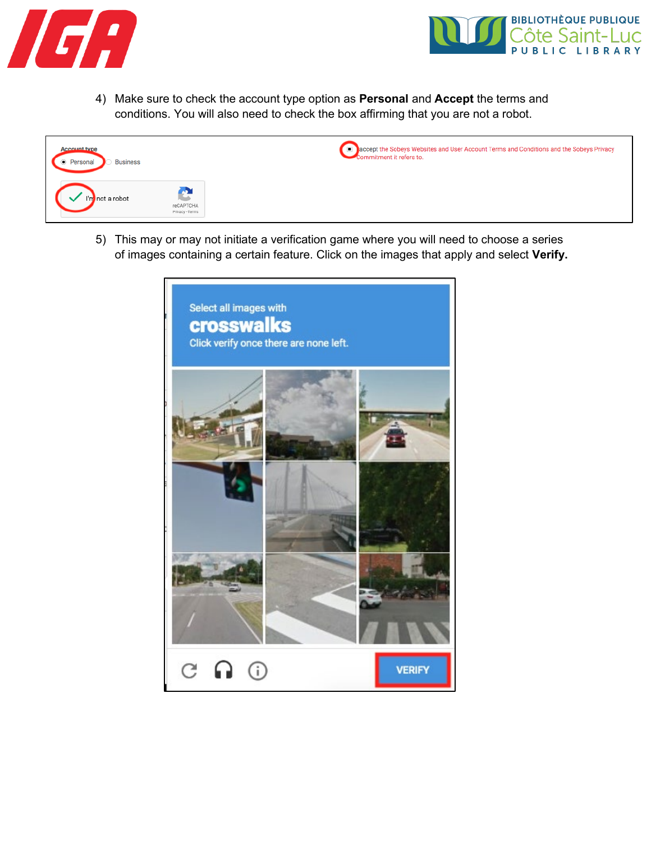



4) Make sure to check the account type option as **Personal** and **Accept** the terms and conditions. You will also need to check the box affirming that you are not a robot.



5) This may or may not initiate a verification game where you will need to choose a series of images containing a certain feature. Click on the images that apply and select **Verify.**

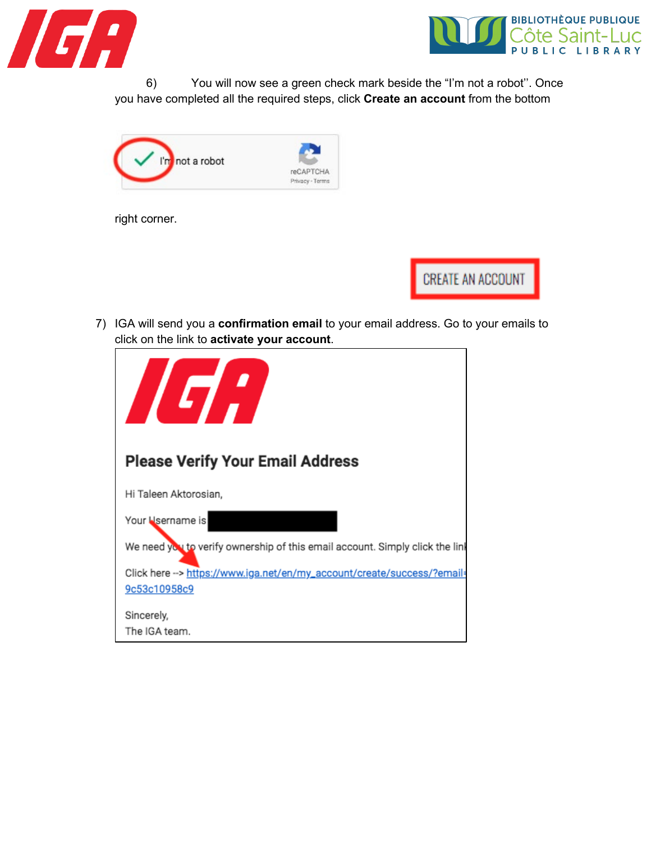



6) You will now see a green check mark beside the "I'm not a robot''. Once you have completed all the required steps, click **Create an account** from the bottom



right corner.

**CREATE AN ACCOUNT** 

7) IGA will send you a **confirmation email** to your email address. Go to your emails to click on the link to **activate your account**.

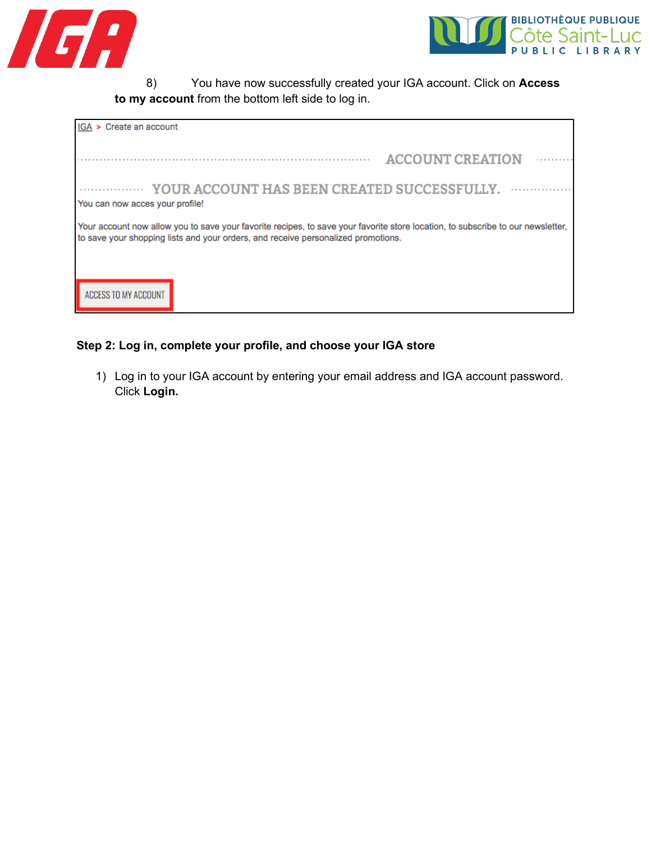



8) You have now successfully created your IGA account. Click on **Access to my account** from the bottom left side to log in.

| IGA > Create an account         |                                                                                                                                                                                                                      |                         |  |
|---------------------------------|----------------------------------------------------------------------------------------------------------------------------------------------------------------------------------------------------------------------|-------------------------|--|
|                                 |                                                                                                                                                                                                                      | <b>ACCOUNT CREATION</b> |  |
| You can now acces your profile! | YOUR ACCOUNT HAS BEEN CREATED SUCCESSFULLY.                                                                                                                                                                          |                         |  |
|                                 | Your account now allow you to save your favorite recipes, to save your favorite store location, to subscribe to our newsletter,<br>to save your shopping lists and your orders, and receive personalized promotions. |                         |  |
|                                 |                                                                                                                                                                                                                      |                         |  |
| ACCESS TO MY ACCOUNT            |                                                                                                                                                                                                                      |                         |  |

## **Step 2: Log in, complete your profile, and choose your IGA store**

1) Log in to your IGA account by entering your email address and IGA account password. Click **Login.**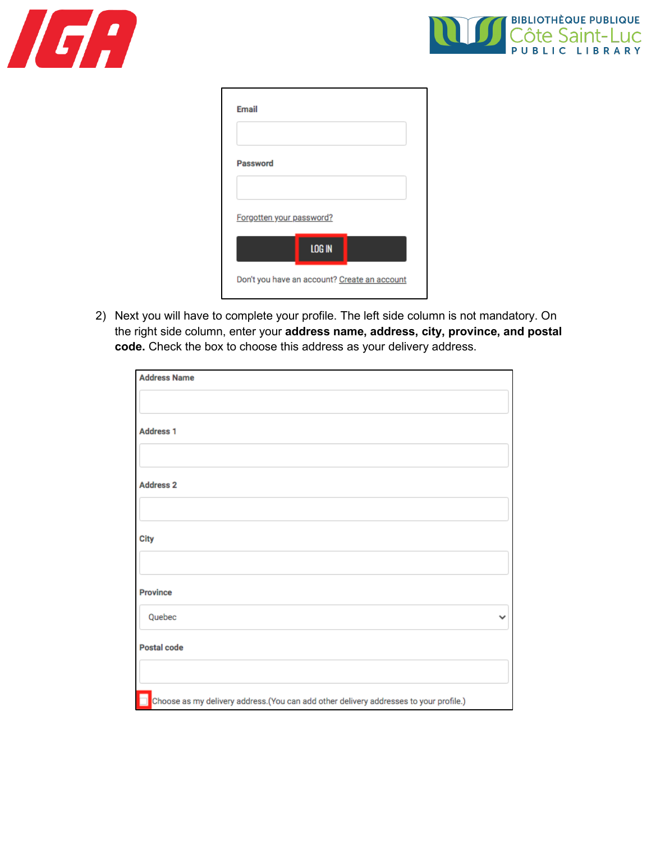



| Password |                          |               |  |
|----------|--------------------------|---------------|--|
|          |                          |               |  |
|          | Forgotten your password? |               |  |
|          |                          | <b>LOG IN</b> |  |

2) Next you will have to complete your profile. The left side column is not mandatory. On the right side column, enter your **address name, address, city, province, and postal code.** Check the box to choose this address as your delivery address.

| <b>Address Name</b>                                                                    |  |
|----------------------------------------------------------------------------------------|--|
|                                                                                        |  |
| <b>Address 1</b>                                                                       |  |
|                                                                                        |  |
| <b>Address 2</b>                                                                       |  |
|                                                                                        |  |
| <b>City</b>                                                                            |  |
|                                                                                        |  |
| <b>Province</b>                                                                        |  |
| Quebec                                                                                 |  |
| <b>Postal code</b>                                                                     |  |
|                                                                                        |  |
| Choose as my delivery address. (You can add other delivery addresses to your profile.) |  |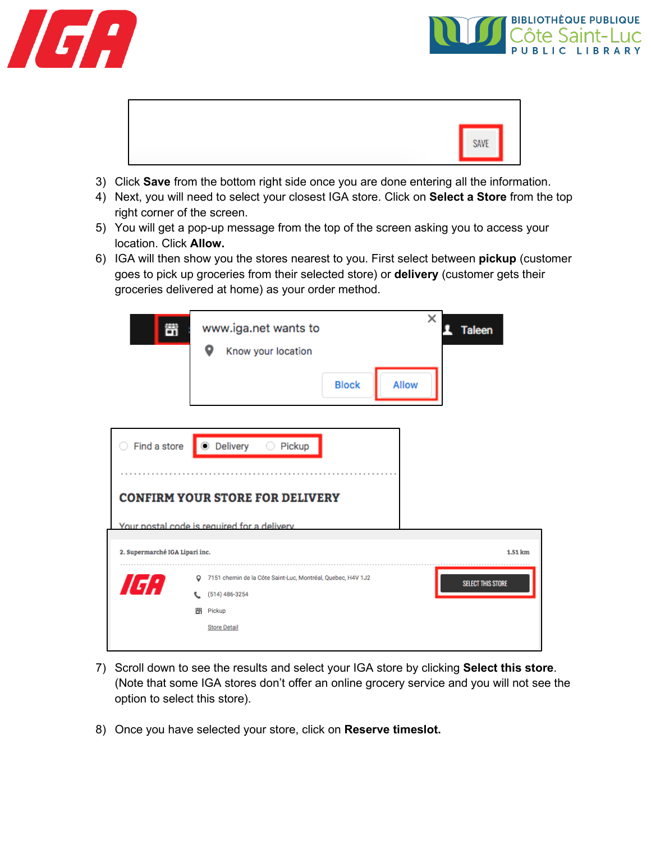





- 3) Click **Save** from the bottom right side once you are done entering all the information.
- 4) Next, you will need to select your closest IGA store. Click on **Select a Store** from the top right corner of the screen.
- 5) You will get a pop-up message from the top of the screen asking you to access your location. Click **Allow.**
- 6) IGA will then show you the stores nearest to you. First select between **pickup** (customer goes to pick up groceries from their selected store) or **delivery** (customer gets their groceries delivered at home) as your order method.

| 苛                              | www.iga.net wants to<br>o<br>Know your location<br><b>Block</b>                                                                          | ×<br><b>Taleen</b><br>Allow |
|--------------------------------|------------------------------------------------------------------------------------------------------------------------------------------|-----------------------------|
| Find a store                   | ● Delivery<br>$\circ$<br>Pickup                                                                                                          |                             |
|                                | <b>CONFIRM YOUR STORE FOR DELIVERY</b><br>Your postal code is required for a delivery.                                                   |                             |
| 2. Supermarché IGA Lipari inc. |                                                                                                                                          | 1.51 km                     |
| ו:מ                            | 7151 chemin de la Côte Saint-Luc, Montréal, Quebec, H4V 1J2<br>$\circ$<br>$(514) 486 - 3254$<br>t.<br>罟<br>Pickup<br><b>Store Detail</b> | <b>SELECT THIS STORE</b>    |

- 7) Scroll down to see the results and select your IGA store by clicking **Select this store**. (Note that some IGA stores don't offer an online grocery service and you will not see the option to select this store).
- 8) Once you have selected your store, click on **Reserve timeslot.**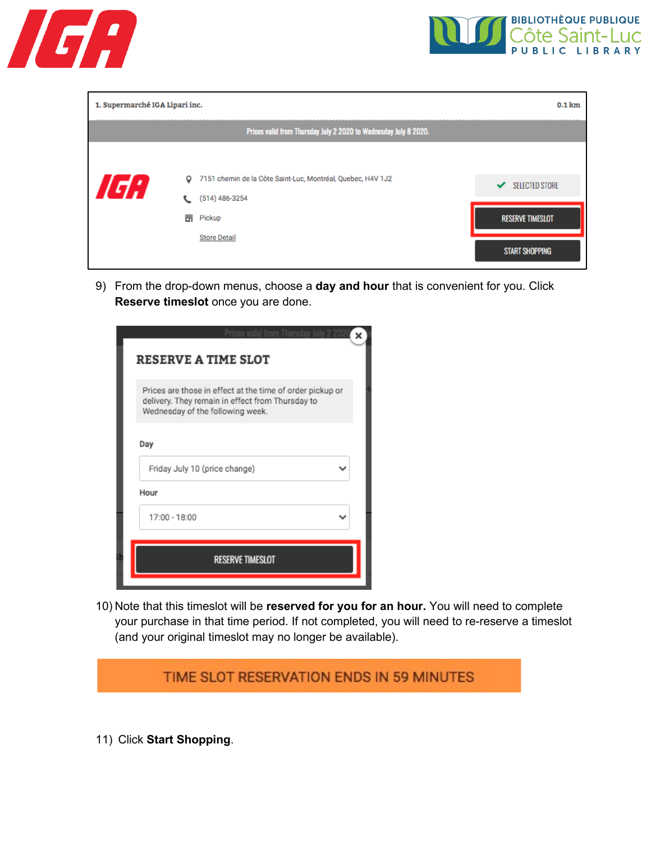



| 1. Supermarché IGA Lipari inc.<br>$0.1$ km |         |                                                                  |   |                         |  |
|--------------------------------------------|---------|------------------------------------------------------------------|---|-------------------------|--|
|                                            |         | Prices valid from Thursday July 2 2020 to Wednesday July 8 2020. |   |                         |  |
|                                            |         |                                                                  |   |                         |  |
| ,                                          | $\circ$ | 7151 chemin de la Côte Saint-Luc, Montréal, Quebec, H4V 1J2      | ✓ | <b>SELECTED STORE</b>   |  |
|                                            |         | (514) 486-3254                                                   |   |                         |  |
|                                            | 醟       | Pickup                                                           |   | <b>RESERVE TIMESLOT</b> |  |
|                                            |         | <b>Store Detail</b>                                              |   | <b>START SHOPPING</b>   |  |

9) From the drop-down menus, choose a **day and hour** that is convenient for you. Click **Reserve timeslot** once you are done.

| <b>RESERVE A TIME SLOT</b>                                                                                                                        |  |
|---------------------------------------------------------------------------------------------------------------------------------------------------|--|
| Prices are those in effect at the time of order pickup or<br>delivery. They remain in effect from Thursday to<br>Wednesday of the following week. |  |
| Day                                                                                                                                               |  |
| Friday July 10 (price change)                                                                                                                     |  |
| Hour                                                                                                                                              |  |
| 17:00 - 18:00                                                                                                                                     |  |
| <b>RESERVE TIMESLOT</b>                                                                                                                           |  |
|                                                                                                                                                   |  |

10) Note that this timeslot will be **reserved for you for an hour.** You will need to complete your purchase in that time period. If not completed, you will need to re-reserve a timeslot (and your original timeslot may no longer be available).



11) Click **Start Shopping**.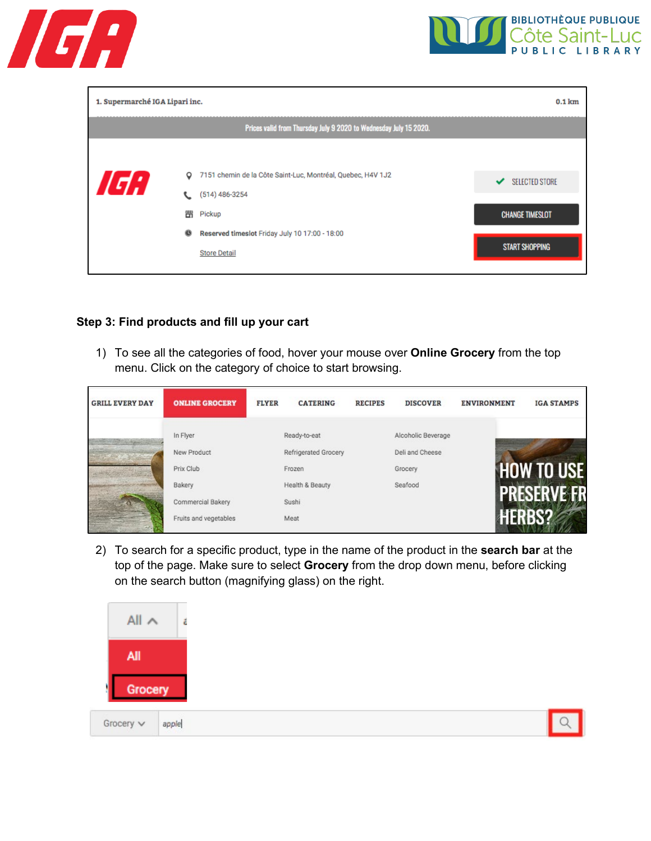



| 1. Supermarché IGA Lipari inc.<br>$0.1$ km |             |                                                                                                                                                                    |                                                                               |  |  |  |
|--------------------------------------------|-------------|--------------------------------------------------------------------------------------------------------------------------------------------------------------------|-------------------------------------------------------------------------------|--|--|--|
|                                            |             | Prices valid from Thursday July 9 2020 to Wednesday July 15 2020.                                                                                                  |                                                                               |  |  |  |
| d'I                                        | o<br>嘂<br>۰ | 7151 chemin de la Côte Saint-Luc, Montréal, Quebec, H4V 1J2<br>$(514)$ 486-3254<br>Pickup<br>Reserved timeslot Friday July 10 17:00 - 18:00<br><b>Store Detail</b> | <b>SELECTED STORE</b><br>✓<br><b>CHANGE TIMESLOT</b><br><b>START SHOPPING</b> |  |  |  |

### **Step 3: Find products and fill up your cart**

1) To see all the categories of food, hover your mouse over **Online Grocery** from the top menu. Click on the category of choice to start browsing.

| <b>GRILL EVERY DAY</b> | <b>ONLINE GROCERY</b> | <b>FLYER</b> | <b>CATERING</b>             | <b>RECIPES</b> | <b>DISCOVER</b>    | <b>ENVIRONMENT</b> | <b>IGA STAMPS</b> |
|------------------------|-----------------------|--------------|-----------------------------|----------------|--------------------|--------------------|-------------------|
|                        | In Flyer              |              | Ready-to-eat                |                | Alcoholic Beverage |                    |                   |
|                        | New Product           |              | <b>Refrigerated Grocery</b> |                | Deli and Cheese    |                    |                   |
|                        | Prix Club             |              | Frozen                      |                | Grocery            |                    | <b>HOW TO USE</b> |
|                        | Bakery                |              | Health & Beauty             |                | Seafood            |                    |                   |
|                        | Commercial Bakery     |              | Sushi                       |                |                    | PRESER             |                   |
|                        | Fruits and vegetables |              | Meat                        |                |                    |                    |                   |

2) To search for a specific product, type in the name of the product in the **search bar** at the top of the page. Make sure to select **Grocery** from the drop down menu, before clicking on the search button (magnifying glass) on the right.

| $All \wedge$   | ŝ     |  |
|----------------|-------|--|
| All            |       |  |
| Grocery        |       |  |
| Grocery $\vee$ | apple |  |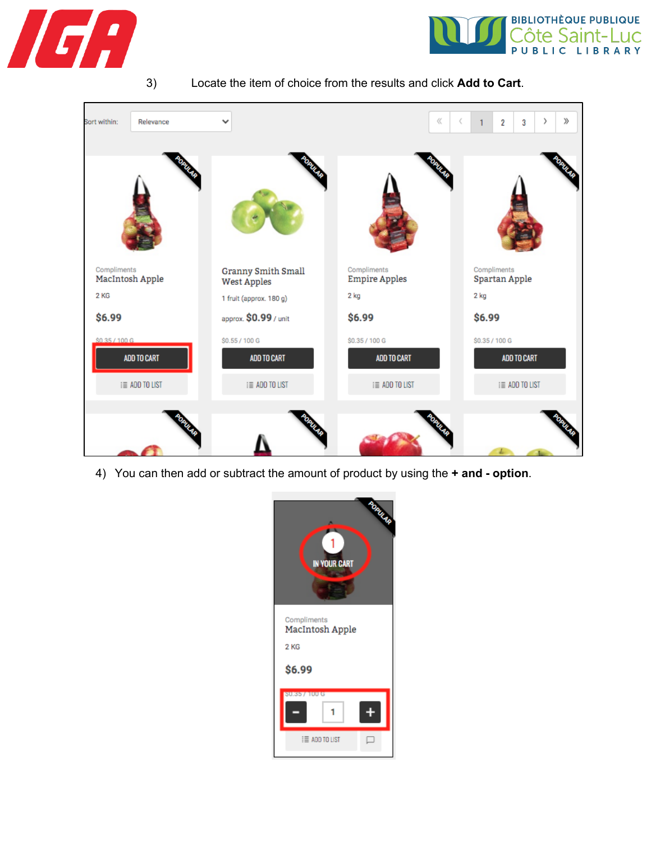



3) Locate the item of choice from the results and click **Add to Cart**.



4) You can then add or subtract the amount of product by using the **+ and - option**.

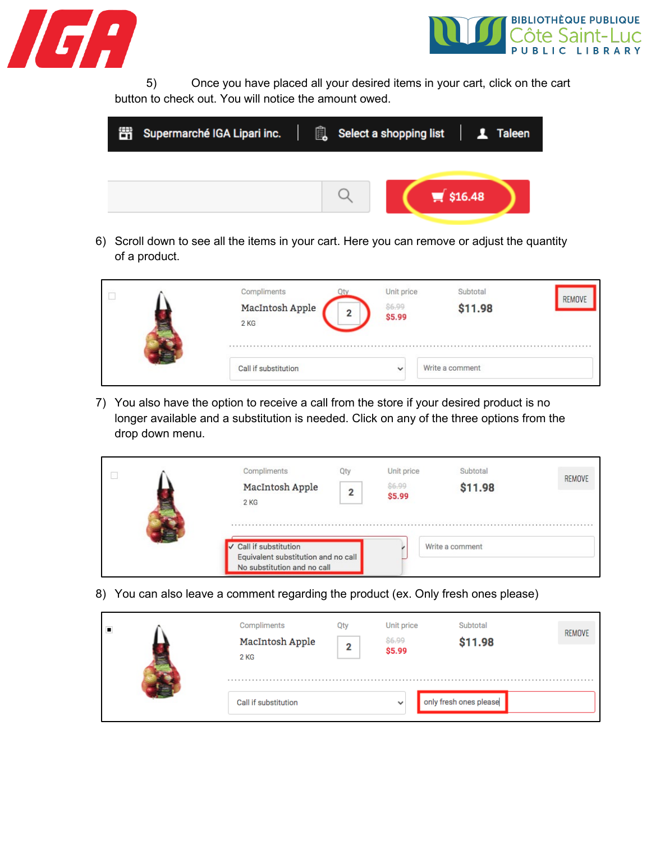



5) Once you have placed all your desired items in your cart, click on the cart button to check out. You will notice the amount owed.

| 醟 | Supermarché IGA Lipari inc. |  | Select a shopping list   1 Taleen |
|---|-----------------------------|--|-----------------------------------|
|   |                             |  |                                   |
|   |                             |  | $\blacktriangleright$ \$16.48     |

6) Scroll down to see all the items in your cart. Here you can remove or adjust the quantity of a product.

|  | Compliments<br>MacIntosh Apple<br>$2$ KG | 2 | Unit price<br><b>S6.99</b><br>\$5.99 | Subtotal<br>\$11.98 | REMOVE |
|--|------------------------------------------|---|--------------------------------------|---------------------|--------|
|  | Call if substitution                     |   | $\checkmark$                         | Write a comment     |        |

7) You also have the option to receive a call from the store if your desired product is no longer available and a substitution is needed. Click on any of the three options from the drop down menu.

| Compliments               | Otv | Unit price       | Subtotal        | REMOVE |
|---------------------------|-----|------------------|-----------------|--------|
| MacIntosh Apple<br>2 KG   | າ   | \$6.99<br>\$5.99 | \$11.98         |        |
| Call if substitution<br>v |     |                  | Write a comment |        |

8) You can also leave a comment regarding the product (ex. Only fresh ones please)

| П | Compliments<br>MacIntosh Apple<br>2 KG | Oty<br>2 | Unit price<br>\$6.99<br>\$5.99 | Subtotal<br>\$11.98    | <b>REMOVE</b> |
|---|----------------------------------------|----------|--------------------------------|------------------------|---------------|
|   | Call if substitution                   |          | $\checkmark$                   | only fresh ones please |               |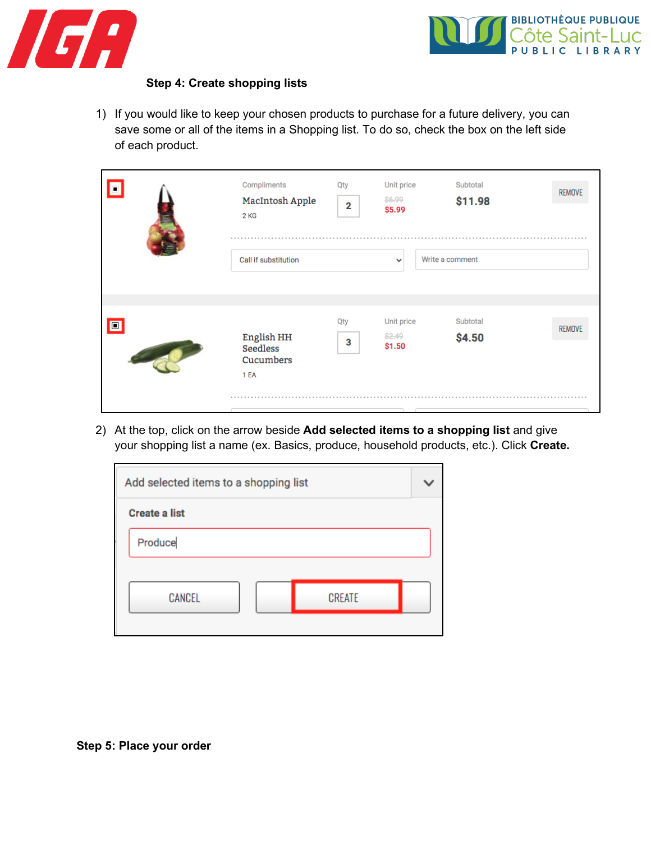



## **Step 4: Create shopping lists**

1) If you would like to keep your chosen products to purchase for a future delivery, you can save some or all of the items in a Shopping list. To do so, check the box on the left side of each product.

| $\bullet$      | Compliments<br>MacIntosh Apple<br>2 KG<br>Call if substitution | Qty<br>$\overline{2}$ | Unit price<br>\$6.99<br>\$5.99<br>$\checkmark$ | Subtotal<br>\$11.98<br>Write a comment | REMOVE |
|----------------|----------------------------------------------------------------|-----------------------|------------------------------------------------|----------------------------------------|--------|
| $\blacksquare$ | English HH<br><b>Seedless</b><br>Cucumbers<br>1 EA             | Qty<br>3              | Unit price<br>\$2.49<br>\$1.50                 | Subtotal<br>\$4.50                     | REMOVE |

2) At the top, click on the arrow beside **Add selected items to a shopping list** and give your shopping list a name (ex. Basics, produce, household products, etc.). Click **Create.**

| Add selected items to a shopping list |  |               |  |  |
|---------------------------------------|--|---------------|--|--|
| <b>Create a list</b>                  |  |               |  |  |
| Produce                               |  |               |  |  |
|                                       |  |               |  |  |
| CANCEL                                |  | <b>CREATE</b> |  |  |
|                                       |  |               |  |  |

**Step 5: Place your order**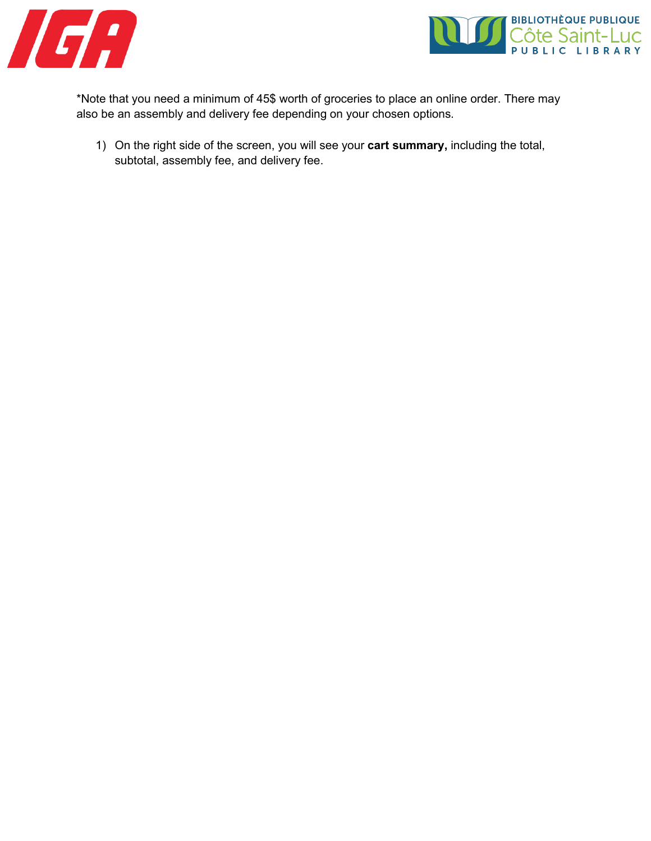



\*Note that you need a minimum of 45\$ worth of groceries to place an online order. There may also be an assembly and delivery fee depending on your chosen options.

1) On the right side of the screen, you will see your **cart summary,** including the total, subtotal, assembly fee, and delivery fee.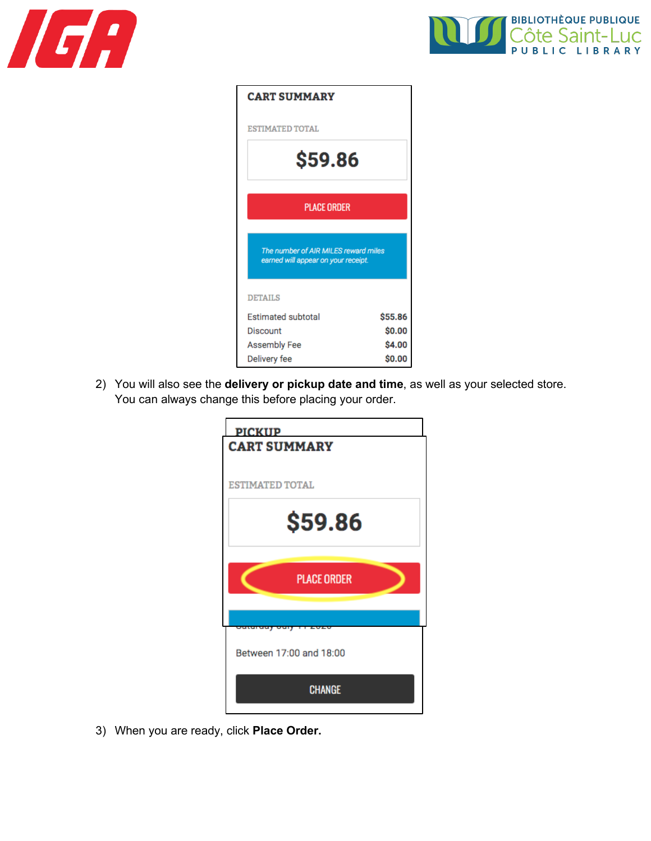



| <b>CART SUMMARY</b>                                                         |         |  |  |
|-----------------------------------------------------------------------------|---------|--|--|
| <b>ESTIMATED TOTAL</b>                                                      |         |  |  |
| \$59.86                                                                     |         |  |  |
| <b>PLACE ORDER</b>                                                          |         |  |  |
| The number of AIR MILES reward miles<br>earned will appear on your receipt. |         |  |  |
| <b>DETAILS</b>                                                              |         |  |  |
| <b>Estimated subtotal</b>                                                   | \$55.86 |  |  |
| Discount                                                                    | \$0.00  |  |  |
| <b>Assembly Fee</b>                                                         | \$4.00  |  |  |
| Delivery fee                                                                | \$0.00  |  |  |

2) You will also see the **delivery or pickup date and time**, as well as your selected store. You can always change this before placing your order.

| <b>PICKUP</b>          | <b>CART SUMMARY</b>     |  |
|------------------------|-------------------------|--|
| <b>ESTIMATED TOTAL</b> |                         |  |
|                        | \$59.86                 |  |
|                        | <b>PLACE ORDER</b>      |  |
|                        | uun                     |  |
|                        | Between 17:00 and 18:00 |  |
|                        | <b>CHANGE</b>           |  |

3) When you are ready, click **Place Order.**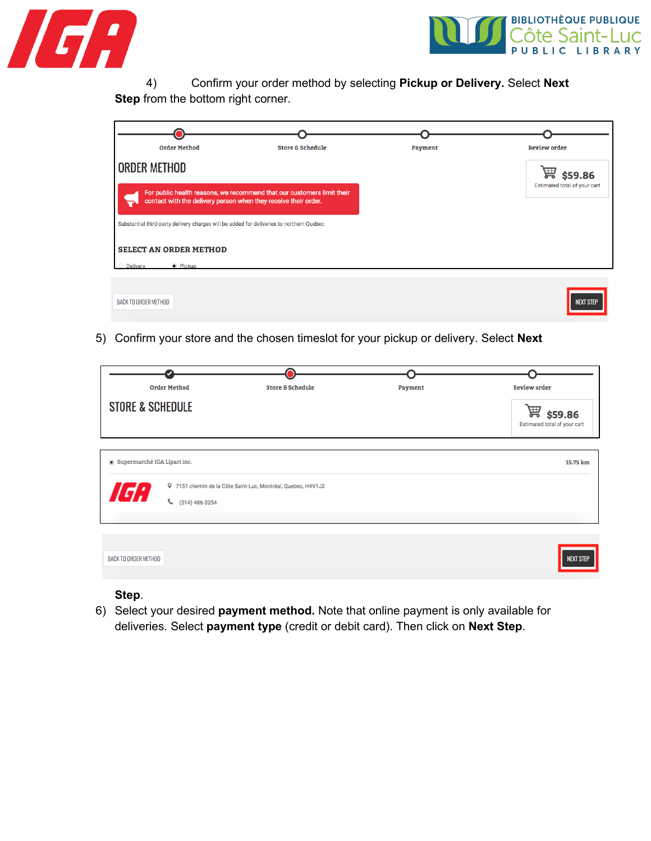



4) Confirm your order method by selecting **Pickup or Delivery.** Select **Next Step** from the bottom right corner.

| <b>Order Method</b>                                                                       | <b>Store &amp; Schedule</b>                                            | Payment | <b>Review order</b>          |
|-------------------------------------------------------------------------------------------|------------------------------------------------------------------------|---------|------------------------------|
| <b>ORDER METHOD</b>                                                                       |                                                                        |         | 圔<br>\$59.86                 |
| contact with the delivery person when they receive their order.                           | For public health reasons, we recommend that our customers limit their |         | Estimated total of your cart |
| Substantial third-party delivery charges will be added for deliveries to northern Quebec. |                                                                        |         |                              |
| <b>SELECT AN ORDER METHOD</b>                                                             |                                                                        |         |                              |
| <b>Delivery</b><br>● Pickup                                                               |                                                                        |         |                              |
| BACK TO ORDER METHOD                                                                      |                                                                        |         | <b>NEXT STEP</b>             |

5) Confirm your store and the chosen timeslot for your pickup or delivery. Select **Next** 

| <b>Order Method</b>                                            | <b>Store &amp; Schedule</b>                                  | Payment | <b>Review order</b>                          |
|----------------------------------------------------------------|--------------------------------------------------------------|---------|----------------------------------------------|
| <b>STORE &amp; SCHEDULE</b>                                    |                                                              |         | 篇<br>\$59.86<br>Estimated total of your cart |
| Supermarché IGA Lipari inc.<br>168<br>$\binom{6}{14}$ 486-3254 | 9 7151 chemin de la Côte Saint-Luc, Montréal, Quebec, H4V1J2 |         | 15.75 km                                     |
| BACK TO ORDER METHOD                                           |                                                              |         | <b>NEXT STEP</b>                             |

## **Step**.

6) Select your desired **payment method.** Note that online payment is only available for deliveries. Select **payment type** (credit or debit card). Then click on **Next Step**.